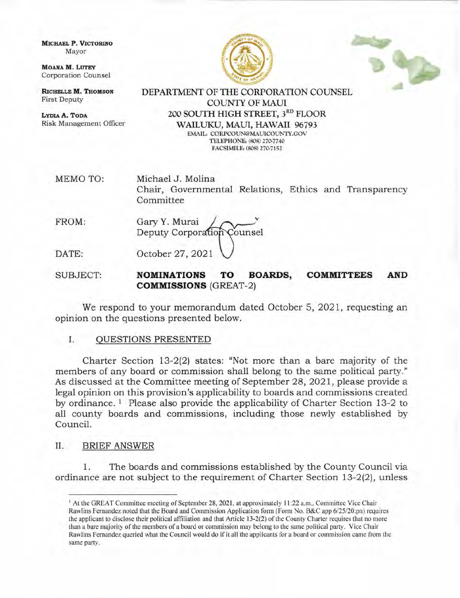MICHAEL P. VICTORINO Mayor

MOANA M. LUTEY Corporation Counsel

RICHELLE M. THOMSON First Deputy

LYDIAA. ToDA Risk Management Officer





DEPARTMENT OF THE CORPORATION COLINSEL COLINTY OF MAUI 200 SOUTH HIGH STREET, 3RD FLOOR WAILUKU, MAUI, HAWAII 96793 EMAIL: CORPCOUN@MAUICOUNTY.GOV TELEPHONE: (808) 270-7740 FACSIMILE: (808) 270-7152

MEMO TO Michael J. Molina Chair, Governmental Relations, Ethics and Transparency Committee

FROM: Gary Y. Murai Deputy Corporation Counsel DATE: October 27, 2021

SUBJECT: NOMINATIONS TO BOARDS, COMMITTEES AND **COMMISSIONS** (GREAT-2)

We respond to your memorandum dated October 5, 2021, requesting an opinion on the questions presented below.

## I. OUESTIONS PRESENTED

Charter Section 13-2(2) states: "Not more than a bare majority of the members of any board or commission shall belong to the same political party." As discussed at the Committee meeting of September 28,2021, please provide a legal opinion on this provision's applicability to boards and commissions created by ordinance. 1 Please also provide the applicability of Charter Section 13-2 to all county boards and commissions, including those newly established by Council.

## II. BRIEF ANSWER

1. The boards and commissions established by the County Council via ordinance are not subject to the requirement of Charter Section 13-2(2), unless

<sup>&</sup>lt;sup>1</sup> At the GREAT Committee meeting of September 28, 2021, at approximately 11:22 a.m., Committee Vice Chair Rawlins Fernandez noted that the Board and Commission Application form (Form No. B&C app 6/25/20;pn) requires the applicant to disclose their political affiliation and that Article l3-2(2) of the County Charter requires that no more than a bare majority of the members of a board or commission may belong to the same political party. Vice Chair Rawlins Fernandez queried what the Council would do if it all the applicants for a board or commission came from the same party.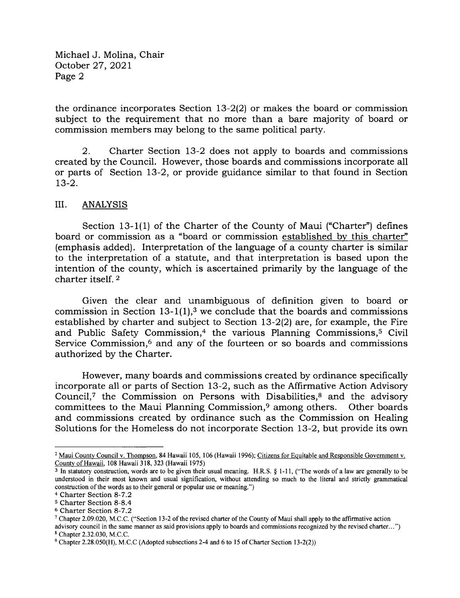Michael J. Molina, Chair October 27,2021 Page 2

the ordinance incorporates Section L3-2(2) or makes the board or commission subject to the requirement that no more than a bare majority of board or commission members may belong to the same political party.

2. Charter Section 13-2 does not apply to boards and commissions created by the Council. However, those boards and commissions incorporate all or parts of Section l3-2, or provide guidance similar to that found in Section  $13-2.$ 

## III. ANALYSIS

Section 13-1(1) of the Charter of the County of Maui ("Charter") defines board or commission as a "board or commission established by this charter" (emphasis added). Interpretation of the language of a county charter is similar to the interpretation of a statute, and that interpretation is based upon the intention of the county, which is ascertained primarily by the language of the charter itself. <sup>2</sup>

Given the clear and unambiguous of definition given to board or commission in Section 13-1(1),<sup>3</sup> we conclude that the boards and commissions established by charter and subject to Section  $13-2(2)$  are, for example, the Fire and Public Safety Commission,<sup>4</sup> the various Planning Commissions,<sup>5</sup> Civil Service Commission,<sup>6</sup> and any of the fourteen or so boards and commissions authorized by the Charter.

However, many boards and commissions created by ordinance specifically incorporate all or parts of Section L3-2, such as the Affirmative Action Advisory Council,<sup>7</sup> the Commission on Persons with Disabilities, $\delta$  and the advisory committees to the Maui Planning Commission,<sup>9</sup> among others. Other boards and commissions created by ordinance such as the Commission on Healing Solutions for the Homeless do not incorporate Section I3-2, but provide its own

<sup>&</sup>lt;sup>2</sup> Maui County Council v. Thompson, 84 Hawaii 105, 106 (Hawaii 1996); Citizens for Equitable and Responsible Government v. Countv of Hawaii, 108 Hawaii 318, 323 (Hawaii 1975)

<sup>3</sup>In statutory construction, words are to be given their usual meaning. H.R.S. \$ 1-11, ("The words of a law are generally to be understood in their most known and usual signification, without attending so much to the literal and strictly grammatical construction of the words as to their general or popular use or meaning.")

<sup>&</sup>lt;sup>4</sup> Charter Section 8-7.2

s Charter Section 8-8.4

<sup>6</sup> Charter Section 8-7.2

<sup>7</sup>Chapter 2.09.020, M.C.C. ("Section 13-2 of the revised charter of the County of Maui shall apply to the affirmative action

advisory council in the same manner as said provisions apply to boards and commissions recognized by the revised charter. . . ") <sup>8</sup>Chapter 2.32.030, M.C.C.

<sup>&</sup>lt;sup>9</sup> Chapter 2.28.050(H), M.C.C (Adopted subsections 2-4 and 6 to 15 of Charter Section 13-2(2))